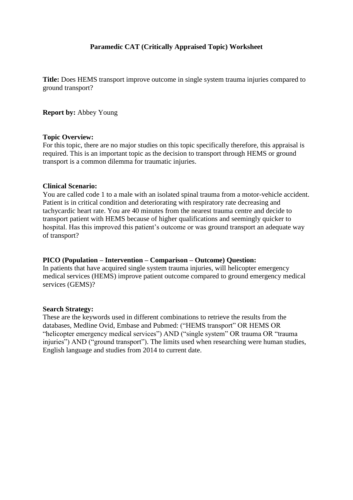## **Paramedic CAT (Critically Appraised Topic) Worksheet**

**Title:** Does HEMS transport improve outcome in single system trauma injuries compared to ground transport?

#### **Report by:** Abbey Young

#### **Topic Overview:**

For this topic, there are no major studies on this topic specifically therefore, this appraisal is required. This is an important topic as the decision to transport through HEMS or ground transport is a common dilemma for traumatic injuries.

#### **Clinical Scenario:**

You are called code 1 to a male with an isolated spinal trauma from a motor-vehicle accident. Patient is in critical condition and deteriorating with respiratory rate decreasing and tachycardic heart rate. You are 40 minutes from the nearest trauma centre and decide to transport patient with HEMS because of higher qualifications and seemingly quicker to hospital. Has this improved this patient's outcome or was ground transport an adequate way of transport?

## **PICO (Population – Intervention – Comparison – Outcome) Question:**

In patients that have acquired single system trauma injuries, will helicopter emergency medical services (HEMS) improve patient outcome compared to ground emergency medical services (GEMS)?

#### **Search Strategy:**

These are the keywords used in different combinations to retrieve the results from the databases, Medline Ovid, Embase and Pubmed: ("HEMS transport" OR HEMS OR "helicopter emergency medical services") AND ("single system" OR trauma OR "trauma injuries") AND ("ground transport"). The limits used when researching were human studies, English language and studies from 2014 to current date.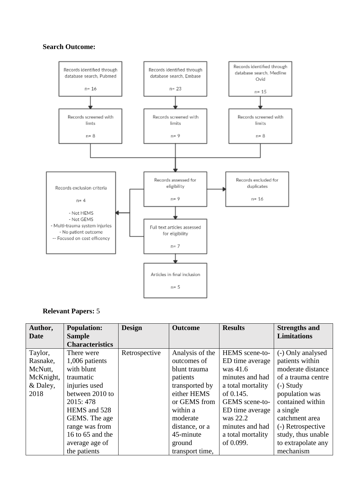## **Search Outcome:**



# **Relevant Papers:** 5

| Author,     | <b>Population:</b>     | <b>Design</b> | <b>Outcome</b>  | <b>Results</b>    | <b>Strengths and</b> |
|-------------|------------------------|---------------|-----------------|-------------------|----------------------|
| <b>Date</b> | <b>Sample</b>          |               |                 |                   | <b>Limitations</b>   |
|             | <b>Characteristics</b> |               |                 |                   |                      |
| Taylor,     | There were             | Retrospective | Analysis of the | HEMS scene-to-    | (-) Only analysed    |
| Rasnake,    | 1,006 patients         |               | outcomes of     | ED time average   | patients within      |
| McNutt,     | with blunt             |               | blunt trauma    | was 41.6          | moderate distance    |
| McKnight,   | traumatic              |               | patients        | minutes and had   | of a trauma centre   |
| & Daley,    | injuries used          |               | transported by  | a total mortality | $(-)$ Study          |
| 2018        | between 2010 to        |               | either HEMS     | of 0.145.         | population was       |
|             | 2015: 478              |               | or GEMS from    | GEMS scene-to-    | contained within     |
|             | HEMS and 528           |               | within a        | ED time average   | a single             |
|             | GEMS. The age          |               | moderate        | was 22.2          | catchment area       |
|             | range was from         |               | distance, or a  | minutes and had   | (-) Retrospective    |
|             | 16 to 65 and the       |               | 45-minute       | a total mortality | study, thus unable   |
|             | average age of         |               | ground          | of 0.099.         | to extrapolate any   |
|             | the patients           |               | transport time, |                   | mechanism            |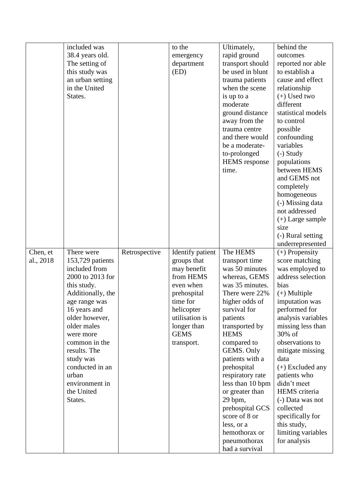|           | included was      |               | to the           | Ultimately,                    | behind the         |
|-----------|-------------------|---------------|------------------|--------------------------------|--------------------|
|           | 38.4 years old.   |               | emergency        | rapid ground                   | outcomes           |
|           | The setting of    |               | department       | transport should               | reported nor able  |
|           | this study was    |               | (ED)             | be used in blunt               | to establish a     |
|           | an urban setting  |               |                  | trauma patients                | cause and effect   |
|           | in the United     |               |                  | when the scene                 | relationship       |
|           | States.           |               |                  | is up to a                     | $(+)$ Used two     |
|           |                   |               |                  | moderate                       | different          |
|           |                   |               |                  | ground distance                | statistical models |
|           |                   |               |                  | away from the                  | to control         |
|           |                   |               |                  | trauma centre                  | possible           |
|           |                   |               |                  | and there would                | confounding        |
|           |                   |               |                  | be a moderate-                 | variables          |
|           |                   |               |                  | to-prolonged                   | $(-)$ Study        |
|           |                   |               |                  | <b>HEMS</b> response           | populations        |
|           |                   |               |                  | time.                          | between HEMS       |
|           |                   |               |                  |                                | and GEMS not       |
|           |                   |               |                  |                                | completely         |
|           |                   |               |                  |                                | homogeneous        |
|           |                   |               |                  |                                | (-) Missing data   |
|           |                   |               |                  |                                | not addressed      |
|           |                   |               |                  |                                | $(+)$ Large sample |
|           |                   |               |                  |                                | size               |
|           |                   |               |                  |                                | (-) Rural setting  |
|           |                   |               |                  |                                | underrepresented   |
|           |                   |               |                  |                                |                    |
| Chen, et  | There were        | Retrospective | Identify patient | The HEMS                       | $(+)$ Propensity   |
| al., 2018 | 153,729 patients  |               | groups that      | transport time                 | score matching     |
|           | included from     |               | may benefit      | was 50 minutes                 | was employed to    |
|           | 2000 to 2013 for  |               | from HEMS        | whereas, GEMS                  | address selection  |
|           | this study.       |               | even when        | was 35 minutes.                | bias               |
|           | Additionally, the |               | prehospital      | There were 22%                 | $(+)$ Multiple     |
|           | age range was     |               | time for         | higher odds of                 | imputation was     |
|           | 16 years and      |               | helicopter       | survival for                   | performed for      |
|           | older however,    |               | utilisation is   | patients                       | analysis variables |
|           | older males       |               | longer than      | transported by                 | missing less than  |
|           | were more         |               | <b>GEMS</b>      | <b>HEMS</b>                    | 30% of             |
|           | common in the     |               | transport.       | compared to                    | observations to    |
|           | results. The      |               |                  | GEMS. Only                     | mitigate missing   |
|           | study was         |               |                  | patients with a                | data               |
|           | conducted in an   |               |                  | prehospital                    | $(+)$ Excluded any |
|           | urban             |               |                  | respiratory rate               | patients who       |
|           | environment in    |               |                  | less than 10 bpm               | didn't meet        |
|           | the United        |               |                  | or greater than                | HEMS criteria      |
|           | States.           |               |                  | 29 bpm,                        | (-) Data was not   |
|           |                   |               |                  | prehospital GCS                | collected          |
|           |                   |               |                  | score of 8 or                  | specifically for   |
|           |                   |               |                  | less, or a                     | this study,        |
|           |                   |               |                  | hemothorax or                  | limiting variables |
|           |                   |               |                  | pneumothorax<br>had a survival | for analysis       |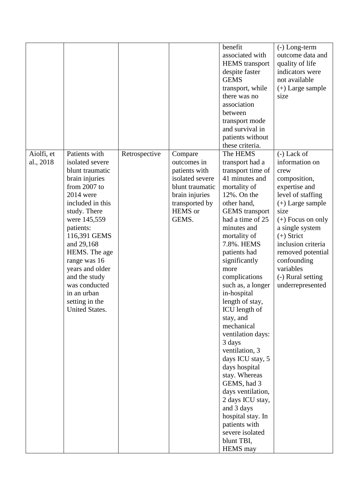|            |                  |               |                 | benefit               | $(-)$ Long-term     |
|------------|------------------|---------------|-----------------|-----------------------|---------------------|
|            |                  |               |                 | associated with       | outcome data and    |
|            |                  |               |                 | <b>HEMS</b> transport | quality of life     |
|            |                  |               |                 | despite faster        | indicators were     |
|            |                  |               |                 | <b>GEMS</b>           | not available       |
|            |                  |               |                 | transport, while      | $(+)$ Large sample  |
|            |                  |               |                 | there was no          | size                |
|            |                  |               |                 | association           |                     |
|            |                  |               |                 | between               |                     |
|            |                  |               |                 | transport mode        |                     |
|            |                  |               |                 | and survival in       |                     |
|            |                  |               |                 | patients without      |                     |
|            |                  |               |                 | these criteria.       |                     |
| Aiolfi, et | Patients with    | Retrospective | Compare         | The HEMS              | $(-)$ Lack of       |
| al., 2018  | isolated severe  |               | outcomes in     | transport had a       | information on      |
|            | blunt traumatic  |               | patients with   | transport time of     | crew                |
|            | brain injuries   |               | isolated severe | 41 minutes and        | composition,        |
|            | from 2007 to     |               | blunt traumatic | mortality of          |                     |
|            | 2014 were        |               |                 | 12%. On the           | expertise and       |
|            |                  |               | brain injuries  |                       | level of staffing   |
|            | included in this |               | transported by  | other hand,           | $(+)$ Large sample  |
|            | study. There     |               | HEMS or         | <b>GEMS</b> transport | size                |
|            | were 145,559     |               | GEMS.           | had a time of 25      | $(+)$ Focus on only |
|            | patients:        |               |                 | minutes and           | a single system     |
|            | 116,391 GEMS     |               |                 | mortality of          | $(+)$ Strict        |
|            | and 29,168       |               |                 | 7.8%. HEMS            | inclusion criteria  |
|            | HEMS. The age    |               |                 | patients had          | removed potential   |
|            | range was 16     |               |                 | significantly         | confounding         |
|            | years and older  |               |                 | more                  | variables           |
|            | and the study    |               |                 | complications         | (-) Rural setting   |
|            | was conducted    |               |                 | such as, a longer     | underrepresented    |
|            | in an urban      |               |                 | in-hospital           |                     |
|            | setting in the   |               |                 | length of stay,       |                     |
|            | United States.   |               |                 | ICU length of         |                     |
|            |                  |               |                 | stay, and             |                     |
|            |                  |               |                 | mechanical            |                     |
|            |                  |               |                 | ventilation days:     |                     |
|            |                  |               |                 | 3 days                |                     |
|            |                  |               |                 | ventilation, 3        |                     |
|            |                  |               |                 | days ICU stay, 5      |                     |
|            |                  |               |                 | days hospital         |                     |
|            |                  |               |                 | stay. Whereas         |                     |
|            |                  |               |                 | GEMS, had 3           |                     |
|            |                  |               |                 | days ventilation,     |                     |
|            |                  |               |                 | 2 days ICU stay,      |                     |
|            |                  |               |                 | and 3 days            |                     |
|            |                  |               |                 | hospital stay. In     |                     |
|            |                  |               |                 | patients with         |                     |
|            |                  |               |                 | severe isolated       |                     |
|            |                  |               |                 | blunt TBI,            |                     |
|            |                  |               |                 | <b>HEMS</b> may       |                     |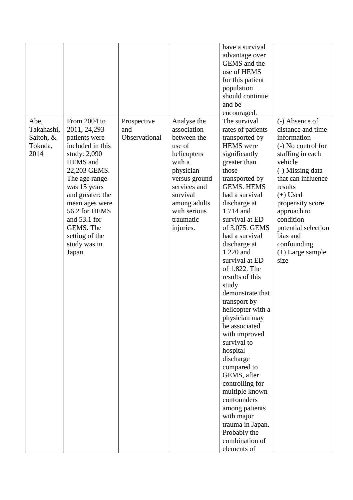|            |                  |               |               | have a survival   |                     |
|------------|------------------|---------------|---------------|-------------------|---------------------|
|            |                  |               |               | advantage over    |                     |
|            |                  |               |               | GEMS and the      |                     |
|            |                  |               |               | use of HEMS       |                     |
|            |                  |               |               | for this patient  |                     |
|            |                  |               |               | population        |                     |
|            |                  |               |               | should continue   |                     |
|            |                  |               |               | and be            |                     |
|            |                  |               |               | encouraged.       |                     |
| Abe,       | From 2004 to     | Prospective   | Analyse the   | The survival      | (-) Absence of      |
| Takahashi, | 2011, 24, 293    | and           | association   | rates of patients | distance and time   |
| Saitoh, &  | patients were    | Observational | between the   | transported by    | information         |
| Tokuda,    | included in this |               | use of        | <b>HEMS</b> were  | (-) No control for  |
| 2014       | study: 2,090     |               | helicopters   | significantly     | staffing in each    |
|            | <b>HEMS</b> and  |               | with a        | greater than      | vehicle             |
|            | 22,203 GEMS.     |               | physician     | those             | (-) Missing data    |
|            | The age range    |               | versus ground | transported by    | that can influence  |
|            | was 15 years     |               | services and  | <b>GEMS. HEMS</b> | results             |
|            | and greater: the |               | survival      | had a survival    | $(+)$ Used          |
|            | mean ages were   |               | among adults  | discharge at      | propensity score    |
|            | 56.2 for HEMS    |               | with serious  | 1.714 and         | approach to         |
|            | and 53.1 for     |               | traumatic     | survival at ED    | condition           |
|            | GEMS. The        |               | injuries.     | of 3.075. GEMS    | potential selection |
|            | setting of the   |               |               | had a survival    | bias and            |
|            | study was in     |               |               | discharge at      | confounding         |
|            | Japan.           |               |               | 1.220 and         | $(+)$ Large sample  |
|            |                  |               |               | survival at ED    | size                |
|            |                  |               |               | of 1.822. The     |                     |
|            |                  |               |               | results of this   |                     |
|            |                  |               |               | study             |                     |
|            |                  |               |               | demonstrate that  |                     |
|            |                  |               |               | transport by      |                     |
|            |                  |               |               | helicopter with a |                     |
|            |                  |               |               | physician may     |                     |
|            |                  |               |               | be associated     |                     |
|            |                  |               |               | with improved     |                     |
|            |                  |               |               | survival to       |                     |
|            |                  |               |               | hospital          |                     |
|            |                  |               |               | discharge         |                     |
|            |                  |               |               | compared to       |                     |
|            |                  |               |               | GEMS, after       |                     |
|            |                  |               |               | controlling for   |                     |
|            |                  |               |               | multiple known    |                     |
|            |                  |               |               | confounders       |                     |
|            |                  |               |               | among patients    |                     |
|            |                  |               |               | with major        |                     |
|            |                  |               |               | trauma in Japan.  |                     |
|            |                  |               |               | Probably the      |                     |
|            |                  |               |               | combination of    |                     |
|            |                  |               |               | elements of       |                     |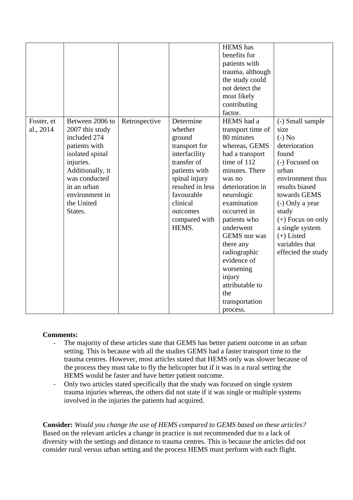|                         |                                                                                                                                                                                                    |               |                                                                                                                                                                                                       | <b>HEMS</b> has<br>benefits for<br>patients with<br>trauma, although<br>the study could<br>not detect the<br>most likely<br>contributing<br>factor.                                                                                                                                                                                                                  |                                                                                                                                                                                                                                                                               |
|-------------------------|----------------------------------------------------------------------------------------------------------------------------------------------------------------------------------------------------|---------------|-------------------------------------------------------------------------------------------------------------------------------------------------------------------------------------------------------|----------------------------------------------------------------------------------------------------------------------------------------------------------------------------------------------------------------------------------------------------------------------------------------------------------------------------------------------------------------------|-------------------------------------------------------------------------------------------------------------------------------------------------------------------------------------------------------------------------------------------------------------------------------|
| Foster, et<br>al., 2014 | Between 2006 to<br>2007 this study<br>included 274<br>patients with<br>isolated spinal<br>injuries.<br>Additionally, it<br>was conducted<br>in an urban<br>environment in<br>the United<br>States. | Retrospective | Determine<br>whether<br>ground<br>transport for<br>interfacility<br>transfer of<br>patients with<br>spinal injury<br>resulted in less<br>favourable<br>clinical<br>outcomes<br>compared with<br>HEMS. | HEMS had a<br>transport time of<br>80 minutes<br>whereas, GEMS<br>had a transport<br>time of 112<br>minutes. There<br>was no<br>deterioration in<br>neurologic<br>examination<br>occurred in<br>patients who<br>underwent<br>GEMS nor was<br>there any<br>radiographic<br>evidence of<br>worsening<br>injury<br>attributable to<br>the<br>transportation<br>process. | (-) Small sample<br>size<br>$(-)$ No<br>deterioration<br>found<br>(-) Focused on<br>urban<br>environment thus<br>results biased<br>towards GEMS<br>(-) Only a year<br>study<br>$(+)$ Focus on only<br>a single system<br>$(+)$ Listed<br>variables that<br>effected the study |

## **Comments:**

- The majority of these articles state that GEMS has better patient outcome in an urban setting. This is because with all the studies GEMS had a faster transport time to the trauma centres. However, most articles stated that HEMS only was slower because of the process they must take to fly the helicopter but if it was in a rural setting the HEMS would be faster and have better patient outcome.
- Only two articles stated specifically that the study was focused on single system trauma injuries whereas, the others did not state if it was single or multiple systems involved in the injuries the patients had acquired.

**Consider:** *Would you change the use of HEMS compared to GEMS based on these articles?* Based on the relevant articles a change in practice is not recommended due to a lack of diversity with the settings and distance to trauma centres. This is because the articles did not consider rural versus urban setting and the process HEMS must perform with each flight.